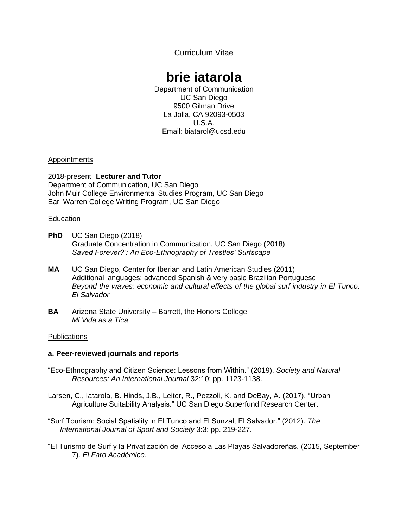Curriculum Vitae

# **brie iatarola**

Department of Communication UC San Diego 9500 Gilman Drive La Jolla, CA 92093-0503 U.S.A. Email: biatarol@ucsd.edu

## Appointments

2018-present **Lecturer and Tutor** Department of Communication, UC San Diego John Muir College Environmental Studies Program, UC San Diego Earl Warren College Writing Program, UC San Diego

## **Education**

- **PhD** UC San Diego (2018) Graduate Concentration in Communication, UC San Diego (2018) *Saved Forever?': An Eco-Ethnography of Trestles' Surfscape*
- **MA** UC San Diego, Center for Iberian and Latin American Studies (2011) Additional languages: advanced Spanish & very basic Brazilian Portuguese *Beyond the waves: economic and cultural effects of the global surf industry in El Tunco, El Salvador*
- **BA** Arizona State University Barrett, the Honors College *Mi Vida as a Tica*

# **Publications**

# **a. Peer-reviewed journals and reports**

- "Eco-Ethnography and Citizen Science: Lessons from Within." (2019). *Society and Natural Resources: An International Journal* 32:10: pp. 1123-1138.
- Larsen, C., Iatarola, B. Hinds, J.B., Leiter, R., Pezzoli, K. and DeBay, A. (2017). "Urban Agriculture Suitability Analysis." UC San Diego Superfund Research Center.
- "Surf Tourism: Social Spatiality in El Tunco and El Sunzal, El Salvador." (2012). *The International Journal of Sport and Society* 3:3: pp. 219-227.
- "El Turismo de Surf y la Privatización del Acceso a Las Playas Salvadoreñas. (2015, September 7). *El Faro Académico*.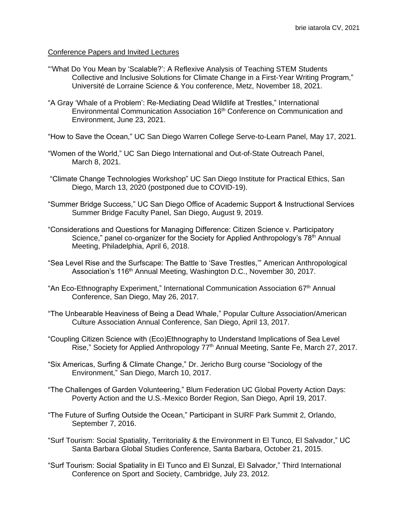### Conference Papers and Invited Lectures

- "'What Do You Mean by 'Scalable?': A Reflexive Analysis of Teaching STEM Students Collective and Inclusive Solutions for Climate Change in a First-Year Writing Program," Université de Lorraine Science & You conference, Metz, November 18, 2021.
- "A Gray 'Whale of a Problem': Re-Mediating Dead Wildlife at Trestles," International Environmental Communication Association 16th Conference on Communication and Environment, June 23, 2021.
- "How to Save the Ocean," UC San Diego Warren College Serve-to-Learn Panel, May 17, 2021.
- "Women of the World," UC San Diego International and Out-of-State Outreach Panel, March 8, 2021.
- "Climate Change Technologies Workshop" UC San Diego Institute for Practical Ethics, San Diego, March 13, 2020 (postponed due to COVID-19).
- "Summer Bridge Success," UC San Diego Office of Academic Support & Instructional Services Summer Bridge Faculty Panel, San Diego, August 9, 2019.
- "Considerations and Questions for Managing Difference: Citizen Science v. Participatory Science," panel co-organizer for the Society for Applied Anthropology's  $78<sup>th</sup>$  Annual Meeting, Philadelphia, April 6, 2018.
- "Sea Level Rise and the Surfscape: The Battle to 'Save Trestles,'" American Anthropological Association's 116<sup>th</sup> Annual Meeting, Washington D.C., November 30, 2017.
- "An Eco-Ethnography Experiment," International Communication Association 67<sup>th</sup> Annual Conference, San Diego, May 26, 2017.
- "The Unbearable Heaviness of Being a Dead Whale," Popular Culture Association/American Culture Association Annual Conference, San Diego, April 13, 2017.
- "Coupling Citizen Science with (Eco)Ethnography to Understand Implications of Sea Level Rise," Society for Applied Anthropology 77<sup>th</sup> Annual Meeting, Sante Fe, March 27, 2017.
- "Six Americas, Surfing & Climate Change," Dr. Jericho Burg course "Sociology of the Environment," San Diego, March 10, 2017.
- "The Challenges of Garden Volunteering," Blum Federation UC Global Poverty Action Days: Poverty Action and the U.S.-Mexico Border Region, San Diego, April 19, 2017.
- "The Future of Surfing Outside the Ocean," Participant in SURF Park Summit 2, Orlando, September 7, 2016.
- "Surf Tourism: Social Spatiality, Territoriality & the Environment in El Tunco, El Salvador," UC Santa Barbara Global Studies Conference, Santa Barbara, October 21, 2015.
- "Surf Tourism: Social Spatiality in El Tunco and El Sunzal, El Salvador," Third International Conference on Sport and Society, Cambridge, July 23, 2012.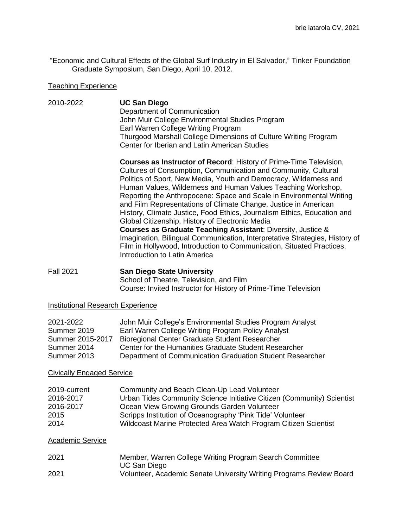"Economic and Cultural Effects of the Global Surf Industry in El Salvador," Tinker Foundation Graduate Symposium, San Diego, April 10, 2012.

#### Teaching Experience

#### 2010-2022 **UC San Diego** Department of Communication John Muir College Environmental Studies Program Earl Warren College Writing Program Thurgood Marshall College Dimensions of Culture Writing Program Center for Iberian and Latin American Studies

**Courses as Instructor of Record**: History of Prime-Time Television, Cultures of Consumption, Communication and Community, Cultural Politics of Sport, New Media, Youth and Democracy, Wilderness and Human Values, Wilderness and Human Values Teaching Workshop, Reporting the Anthropocene: Space and Scale in Environmental Writing and Film Representations of Climate Change, Justice in American History, Climate Justice, Food Ethics, Journalism Ethics, Education and Global Citizenship, History of Electronic Media **Courses as Graduate Teaching Assistant**: Diversity, Justice & Imagination, Bilingual Communication, Interpretative Strategies, History of Film in Hollywood, Introduction to Communication, Situated Practices, Introduction to Latin America

Fall 2021 **San Diego State University** School of Theatre, Television, and Film Course: Invited Instructor for History of Prime-Time Television

#### Institutional Research Experience

| 2021-2022        | John Muir College's Environmental Studies Program Analyst |
|------------------|-----------------------------------------------------------|
| Summer 2019      | Earl Warren College Writing Program Policy Analyst        |
| Summer 2015-2017 | Bioregional Center Graduate Student Researcher            |
| Summer 2014      | Center for the Humanities Graduate Student Researcher     |
| Summer 2013      | Department of Communication Graduation Student Researcher |

#### Civically Engaged Service

| 2019-current | Community and Beach Clean-Up Lead Volunteer                            |
|--------------|------------------------------------------------------------------------|
| 2016-2017    | Urban Tides Community Science Initiative Citizen (Community) Scientist |
| 2016-2017    | Ocean View Growing Grounds Garden Volunteer                            |
| 2015         | Scripps Institution of Oceanography 'Pink Tide' Volunteer              |
| 2014         | Wildcoast Marine Protected Area Watch Program Citizen Scientist        |

#### Academic Service

| 2021 | Member, Warren College Writing Program Search Committee             |
|------|---------------------------------------------------------------------|
|      | UC San Diego                                                        |
| 2021 | Volunteer, Academic Senate University Writing Programs Review Board |